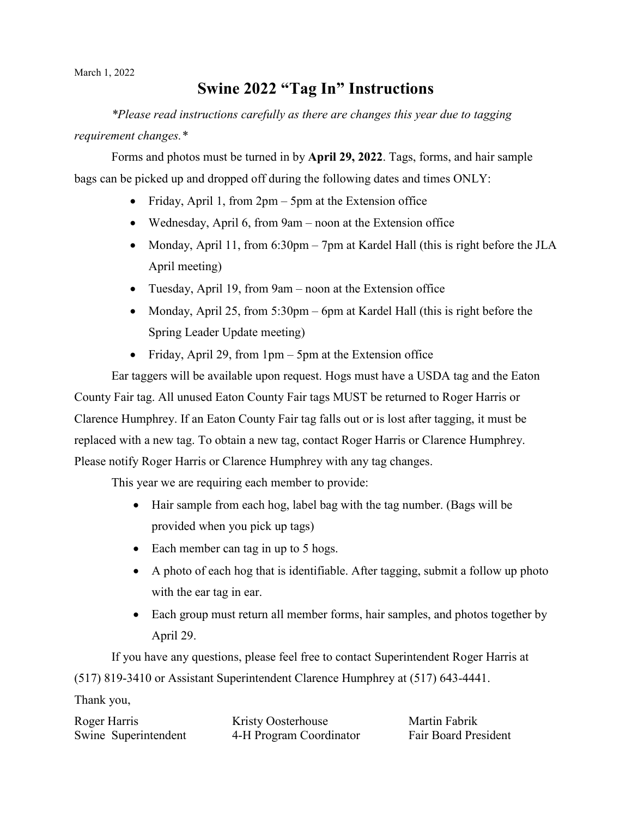March 1, 2022

## **Swine 2022 "Tag In" Instructions**

*\*Please read instructions carefully as there are changes this year due to tagging requirement changes.\** 

Forms and photos must be turned in by **April 29, 2022**. Tags, forms, and hair sample bags can be picked up and dropped off during the following dates and times ONLY:

- Friday, April 1, from 2pm 5pm at the Extension office
- Wednesday, April 6, from 9am noon at the Extension office
- Monday, April 11, from 6:30pm 7pm at Kardel Hall (this is right before the JLA April meeting)
- Tuesday, April 19, from 9am noon at the Extension office
- Monday, April 25, from 5:30pm 6pm at Kardel Hall (this is right before the Spring Leader Update meeting)
- Friday, April 29, from 1pm 5pm at the Extension office

Ear taggers will be available upon request. Hogs must have a USDA tag and the Eaton County Fair tag. All unused Eaton County Fair tags MUST be returned to Roger Harris or Clarence Humphrey. If an Eaton County Fair tag falls out or is lost after tagging, it must be replaced with a new tag. To obtain a new tag, contact Roger Harris or Clarence Humphrey. Please notify Roger Harris or Clarence Humphrey with any tag changes.

This year we are requiring each member to provide:

- Hair sample from each hog, label bag with the tag number. (Bags will be provided when you pick up tags)
- Each member can tag in up to 5 hogs.
- A photo of each hog that is identifiable. After tagging, submit a follow up photo with the ear tag in ear.
- Each group must return all member forms, hair samples, and photos together by April 29.

If you have any questions, please feel free to contact Superintendent Roger Harris at (517) 819-3410 or Assistant Superintendent Clarence Humphrey at (517) 643-4441.

Thank you,

| Roger Harris         | Kristy Oosterhouse      | Martin Fabrik               |
|----------------------|-------------------------|-----------------------------|
| Swine Superintendent | 4-H Program Coordinator | <b>Fair Board President</b> |